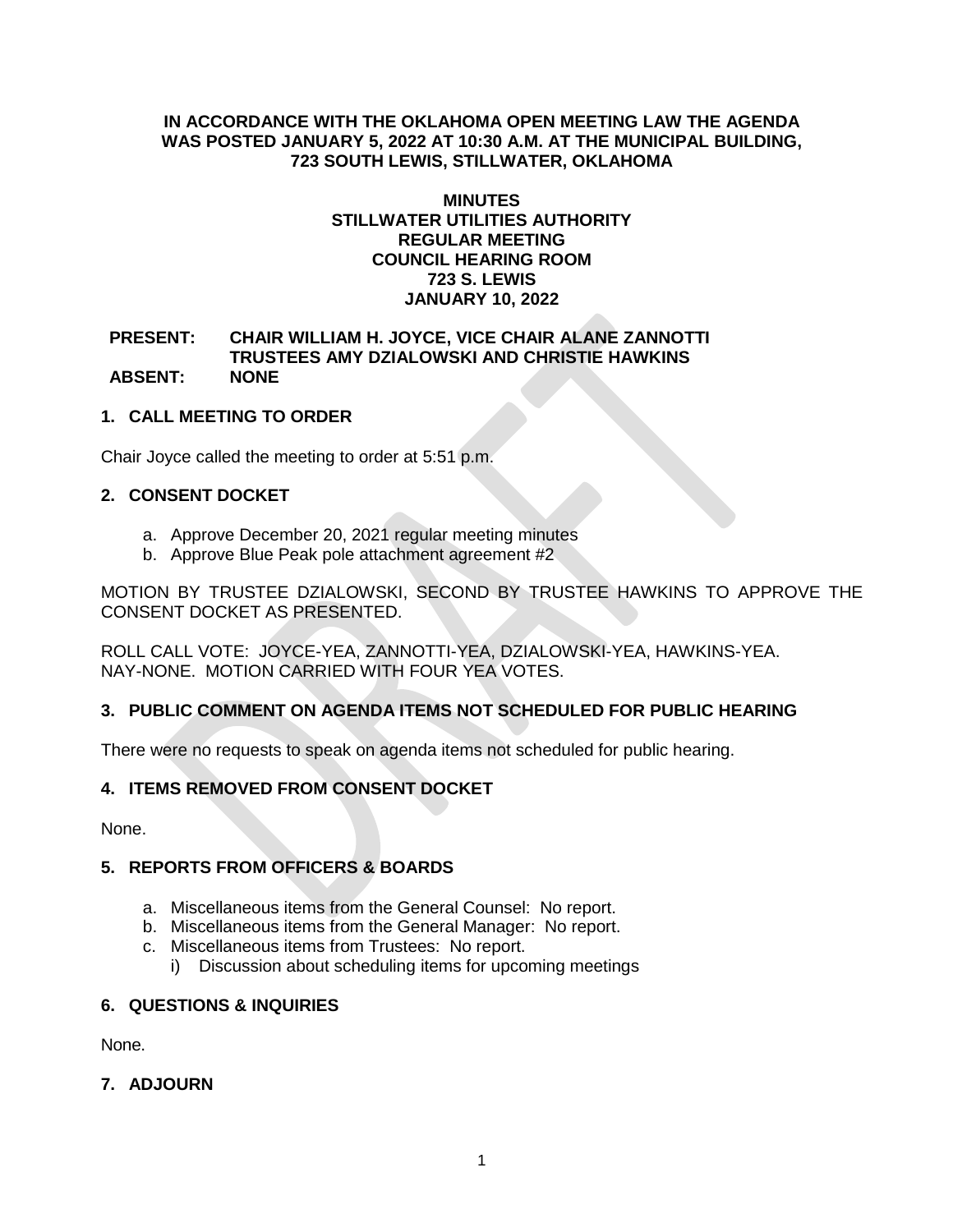### **IN ACCORDANCE WITH THE OKLAHOMA OPEN MEETING LAW THE AGENDA WAS POSTED JANUARY 5, 2022 AT 10:30 A.M. AT THE MUNICIPAL BUILDING, 723 SOUTH LEWIS, STILLWATER, OKLAHOMA**

#### **MINUTES STILLWATER UTILITIES AUTHORITY REGULAR MEETING COUNCIL HEARING ROOM 723 S. LEWIS JANUARY 10, 2022**

### **PRESENT: CHAIR WILLIAM H. JOYCE, VICE CHAIR ALANE ZANNOTTI TRUSTEES AMY DZIALOWSKI AND CHRISTIE HAWKINS ABSENT: NONE**

# **1. CALL MEETING TO ORDER**

Chair Joyce called the meeting to order at 5:51 p.m.

# **2. CONSENT DOCKET**

- a. Approve December 20, 2021 regular meeting minutes
- b. Approve Blue Peak pole attachment agreement #2

MOTION BY TRUSTEE DZIALOWSKI, SECOND BY TRUSTEE HAWKINS TO APPROVE THE CONSENT DOCKET AS PRESENTED.

ROLL CALL VOTE: JOYCE-YEA, ZANNOTTI-YEA, DZIALOWSKI-YEA, HAWKINS-YEA. NAY-NONE. MOTION CARRIED WITH FOUR YEA VOTES.

# **3. PUBLIC COMMENT ON AGENDA ITEMS NOT SCHEDULED FOR PUBLIC HEARING**

There were no requests to speak on agenda items not scheduled for public hearing.

# **4. ITEMS REMOVED FROM CONSENT DOCKET**

None.

# **5. REPORTS FROM OFFICERS & BOARDS**

- a. Miscellaneous items from the General Counsel: No report.
- b. Miscellaneous items from the General Manager: No report.
- c. Miscellaneous items from Trustees: No report.
- i) Discussion about scheduling items for upcoming meetings

# **6. QUESTIONS & INQUIRIES**

None.

# **7. ADJOURN**